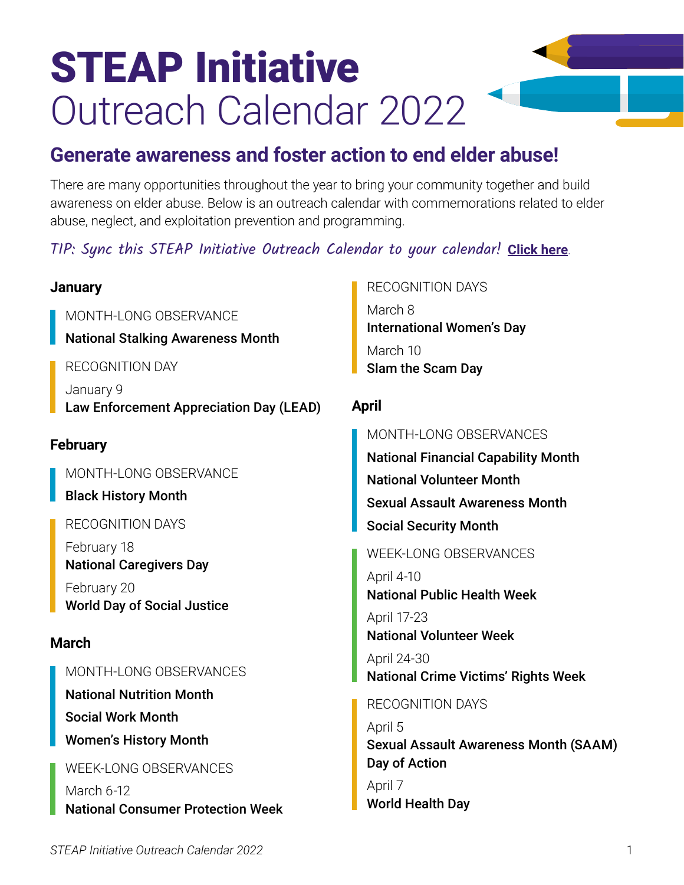# STEAP Initiative Outreach Calendar 2022

# **Generate awareness and foster action to end elder abuse!**

There are many opportunities throughout the year to bring your community together and build awareness on elder abuse. Below is an outreach calendar with commemorations related to elder abuse, neglect, and exploitation prevention and programming.

# TIP: Sync this STEAP Initiative Outreach Calendar to your calendar! **[Click here](https://calendar.google.com/calendar/embed?src=steapatncea%40gmail.com&ctz=America%2FLos_Angeles)**.

| <b>January</b>                                                                                     | <b>RECOGNITION DAYS</b>                                                                         |
|----------------------------------------------------------------------------------------------------|-------------------------------------------------------------------------------------------------|
| MONTH-LONG OBSERVANCE<br><b>National Stalking Awareness Month</b>                                  | March 8<br><b>International Women's Day</b>                                                     |
| <b>RECOGNITION DAY</b>                                                                             | March 10<br>Slam the Scam Day                                                                   |
| January 9<br>Law Enforcement Appreciation Day (LEAD)                                               | <b>April</b>                                                                                    |
| <b>February</b>                                                                                    | MONTH-LONG OBSERVANCES<br><b>National Financial Capability Month</b>                            |
| MONTH-LONG OBSERVANCE                                                                              | <b>National Volunteer Month</b>                                                                 |
| <b>Black History Month</b>                                                                         | <b>Sexual Assault Awareness Month</b>                                                           |
| <b>RECOGNITION DAYS</b>                                                                            | <b>Social Security Month</b>                                                                    |
| February 18<br><b>National Caregivers Day</b><br>February 20<br><b>World Day of Social Justice</b> | <b>WEEK-LONG OBSERVANCES</b><br>April 4-10<br><b>National Public Health Week</b><br>April 17-23 |
| <b>March</b>                                                                                       | <b>National Volunteer Week</b>                                                                  |
| MONTH-LONG OBSERVANCES                                                                             | April 24-30<br><b>National Crime Victims' Rights Week</b>                                       |
| <b>National Nutrition Month</b>                                                                    | <b>RECOGNITION DAYS</b>                                                                         |
| <b>Social Work Month</b>                                                                           | April 5                                                                                         |
| <b>Women's History Month</b>                                                                       | <b>Sexual Assault Awareness Month (SAAM)</b>                                                    |
| <b>WEEK-LONG OBSERVANCES</b>                                                                       | Day of Action                                                                                   |
| March 6-12<br><b>National Consumer Protection Week</b>                                             | April 7<br><b>World Health Day</b>                                                              |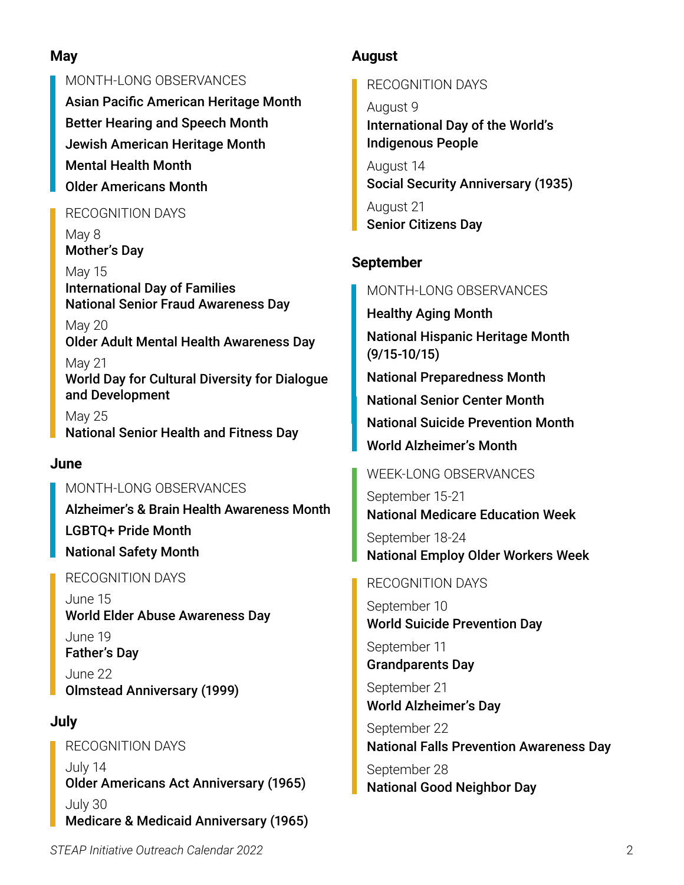# **May**

MONTH-LONG OBSERVANCES Asian Pacific American Heritage Month Better Hearing and Speech Month Jewish American Heritage Month Mental Health Month Older Americans Month

#### RECOGNITION DAYS

May 8 Mother's Day

May 15 International Day of Families National Senior Fraud Awareness Day

May 20 Older Adult Mental Health Awareness Day

May 21 World Day for Cultural Diversity for Dialogue and Development

May 25 National Senior Health and Fitness Day

#### **June**

#### MONTH-LONG OBSERVANCES

Alzheimer's & Brain Health Awareness Month LGBTQ+ Pride Month National Safety Month

#### RECOGNITION DAYS

June 15 World Elder Abuse Awareness Day June 19 Father's Day June 22 Olmstead Anniversary (1999)

## **July**

RECOGNITION DAYS July 14 Older Americans Act Anniversary (1965) July 30 Medicare & Medicaid Anniversary (1965)

# **August**

RECOGNITION DAYS

August 9 International Day of the World's Indigenous People

August 14 Social Security Anniversary (1935)

August 21 Senior Citizens Day

# **September**

MONTH-LONG OBSERVANCES

Healthy Aging Month National Hispanic Heritage Month (9/15-10/15) National Preparedness Month National Senior Center Month

National Suicide Prevention Month

World Alzheimer's Month

#### WEEK-LONG OBSERVANCES

September 15-21 National Medicare Education Week September 18-24 National Employ Older Workers Week

#### RECOGNITION DAYS

September 10 World Suicide Prevention Day

September 11 Grandparents Day

September 21 World Alzheimer's Day

September 22 National Falls Prevention Awareness Day

September 28 National Good Neighbor Day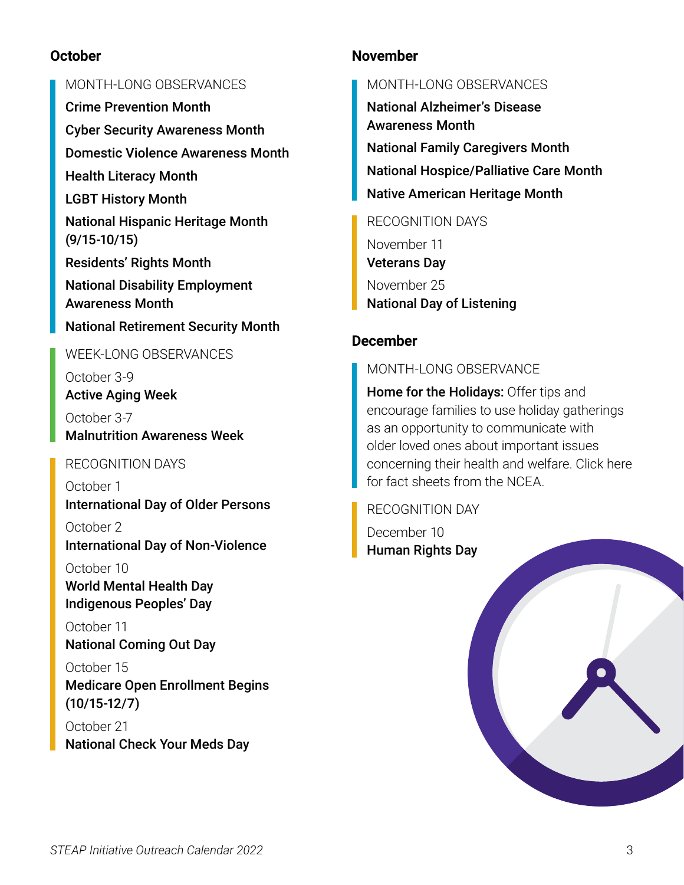#### **October**

#### MONTH-LONG OBSERVANCES

Crime Prevention Month

Cyber Security Awareness Month

Domestic Violence Awareness Month

Health Literacy Month

LGBT History Month

National Hispanic Heritage Month (9/15-10/15)

Residents' Rights Month

National Disability Employment Awareness Month

# National Retirement Security Month

WEEK-LONG OBSERVANCES

October 3-9 Active Aging Week October 3-7 Malnutrition Awareness Week

## RECOGNITION DAYS

October 1 International Day of Older Persons

October 2 International Day of Non-Violence

October 10 World Mental Health Day Indigenous Peoples' Day

October 11 National Coming Out Day

October 15 Medicare Open Enrollment Begins (10/15-12/7)

October 21 National Check Your Meds Day

#### **November**

#### MONTH-LONG OBSERVANCES

National Alzheimer's Disease Awareness Month National Family Caregivers Month National Hospice/Palliative Care Month Native American Heritage Month

RECOGNITION DAYS

November 11 Veterans Day November 25 National Day of Listening

# **December**

MONTH-LONG OBSERVANCE

**Home for the Holidays:** Offer tips and encourage families to use holiday gatherings as an opportunity to communicate with older loved ones about important issues concerning their health and welfare. Click here for fact sheets from the NCEA.

RECOGNITION DAY December 10 Human Rights Day